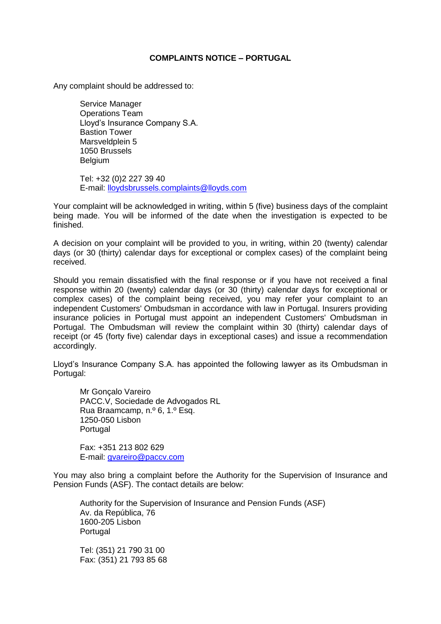## **COMPLAINTS NOTICE – PORTUGAL**

Any complaint should be addressed to:

Service Manager Operations Team Lloyd's Insurance Company S.A. Bastion Tower Marsveldplein 5 1050 Brussels Belgium

Tel: +32 (0)2 227 39 40 E-mail: [lloydsbrussels.complaints@lloyds.com](mailto:lloydsbrussels.complaints@lloyds.com)

Your complaint will be acknowledged in writing, within 5 (five) business days of the complaint being made. You will be informed of the date when the investigation is expected to be finished.

A decision on your complaint will be provided to you, in writing, within 20 (twenty) calendar days (or 30 (thirty) calendar days for exceptional or complex cases) of the complaint being received.

Should you remain dissatisfied with the final response or if you have not received a final response within 20 (twenty) calendar days (or 30 (thirty) calendar days for exceptional or complex cases) of the complaint being received, you may refer your complaint to an independent Customers' Ombudsman in accordance with law in Portugal. Insurers providing insurance policies in Portugal must appoint an independent Customers' Ombudsman in Portugal. The Ombudsman will review the complaint within 30 (thirty) calendar days of receipt (or 45 (forty five) calendar days in exceptional cases) and issue a recommendation accordingly.

Lloyd's Insurance Company S.A. has appointed the following lawyer as its Ombudsman in Portugal:

Mr Gonçalo Vareiro PACC.V, Sociedade de Advogados RL Rua Braamcamp, n.º 6, 1.º Esq. 1250-050 Lisbon Portugal

Fax: +351 213 802 629 E-mail: [gvareiro@paccv.com](mailto:gvareiro@paccv.com)

You may also bring a complaint before the Authority for the Supervision of Insurance and Pension Funds (ASF). The contact details are below:

Authority for the Supervision of Insurance and Pension Funds (ASF) Av. da República, 76 1600-205 Lisbon Portugal

Tel: (351) 21 790 31 00 Fax: (351) 21 793 85 68